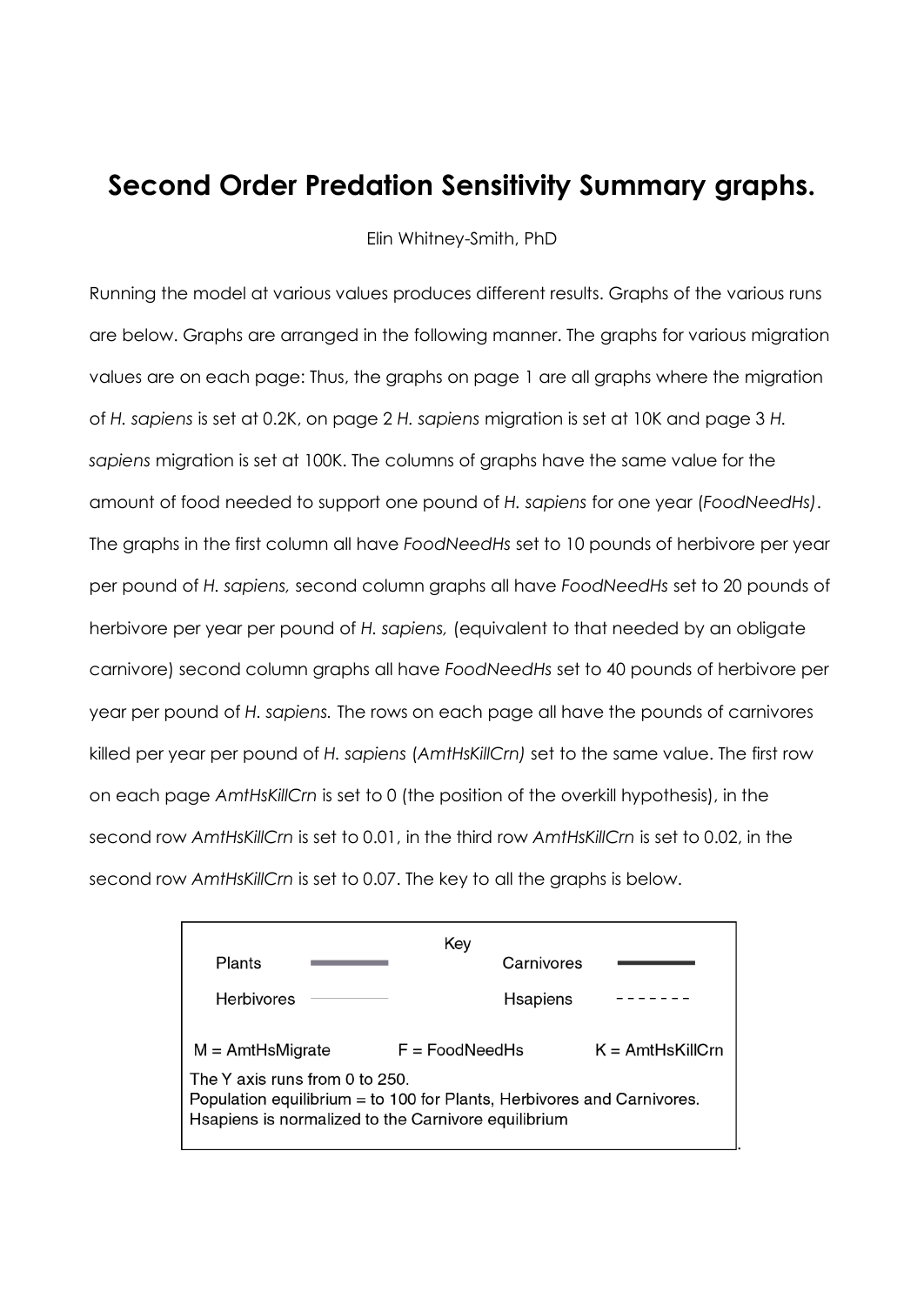## **Second Order Predation Sensitivity Summary graphs.**

Elin Whitney-Smith, PhD

Running the model at various values produces different results. Graphs of the various runs are below. Graphs are arranged in the following manner. The graphs for various migration values are on each page: Thus, the graphs on page 1 are all graphs where the migration of *H. sapiens* is set at 0.2K, on page 2 *H. sapiens* migration is set at 10K and page 3 *H. sapiens* migration is set at 100K. The columns of graphs have the same value for the amount of food needed to support one pound of *H. sapiens* for one year (*FoodNeedHs)*. The graphs in the first column all have *FoodNeedHs* set to 10 pounds of herbivore per year per pound of *H. sapiens,* second column graphs all have *FoodNeedHs* set to 20 pounds of herbivore per year per pound of *H. sapiens,* (equivalent to that needed by an obligate carnivore) second column graphs all have *FoodNeedHs* set to 40 pounds of herbivore per year per pound of *H. sapiens.* The rows on each page all have the pounds of carnivores killed per year per pound of *H. sapiens* (*AmtHsKillCrn)* set to the same value. The first row on each page *AmtHsKillCrn* is set to 0 (the position of the overkill hypothesis), in the second row *AmtHsKillCrn* is set to 0.01, in the third row *AmtHsKillCrn* is set to 0.02, in the second row *AmtHsKillCrn* is set to 0.07. The key to all the graphs is below.

| Key                                                                                                                                                             |                  |                     |
|-----------------------------------------------------------------------------------------------------------------------------------------------------------------|------------------|---------------------|
| Plants                                                                                                                                                          | Carnivores       |                     |
| <b>Herbivores</b>                                                                                                                                               | <b>Hsapiens</b>  |                     |
| $M = AmtHsMigrate$                                                                                                                                              | $F = FoodNeedHs$ | $K = AmtHs$ KillCrn |
| The Y axis runs from 0 to 250.<br>Population equilibrium = to 100 for Plants, Herbivores and Carnivores.<br>Hsapiens is normalized to the Carnivore equilibrium |                  |                     |

.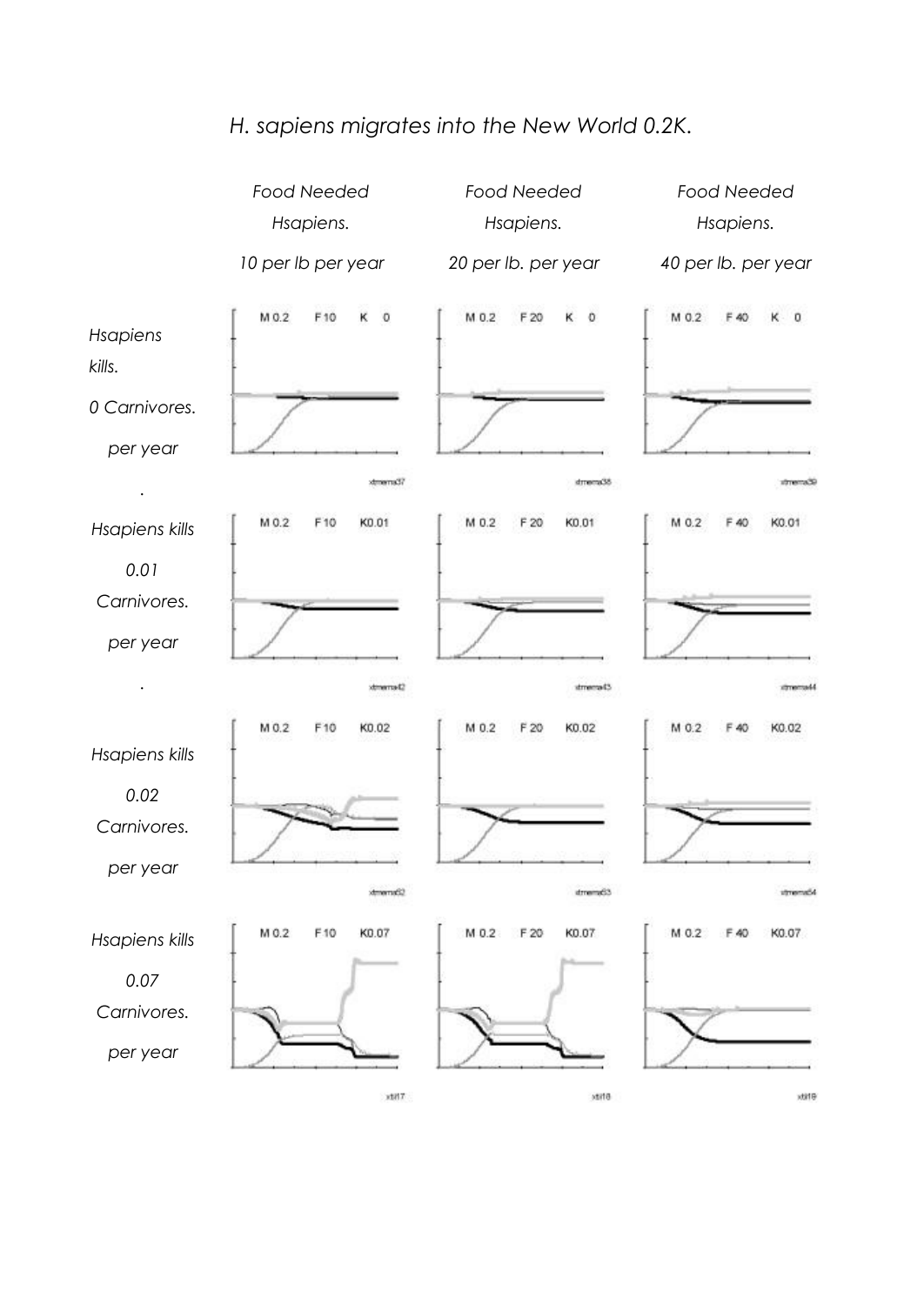## *H. sapiens migrates into the New World 0.2K.*

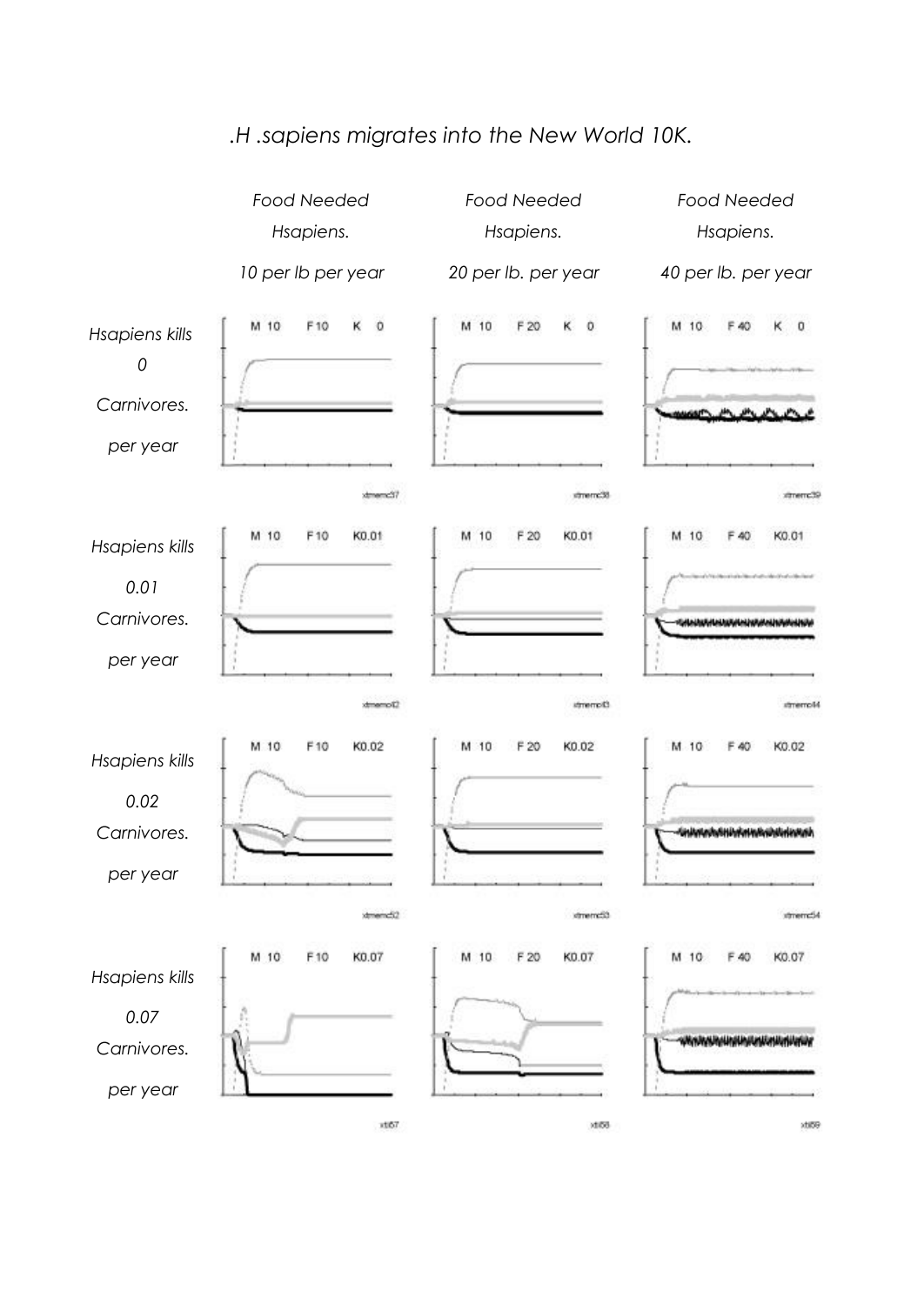

## *.H .sapiens migrates into the New World 10K.*